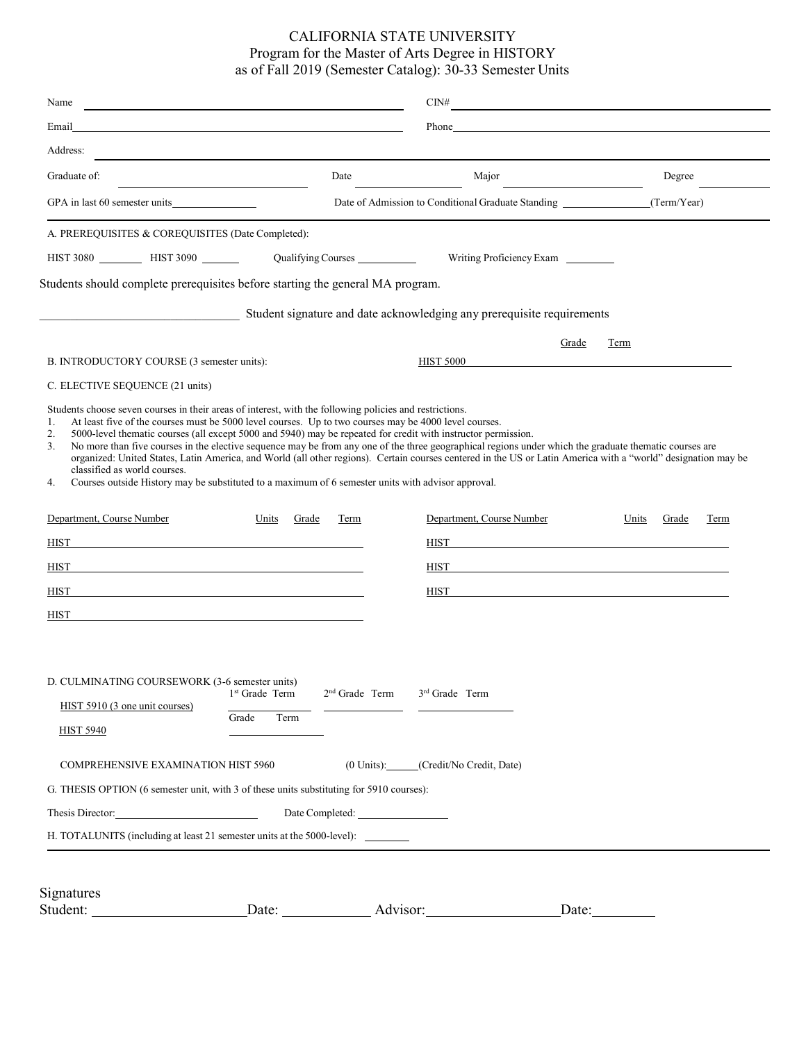## CALIFORNIA STATE UNIVERSITY Program for the Master of Arts Degree in HISTORY as of Fall 2019 (Semester Catalog): 30-33 Semester Units

| Name                                                                                                                                                                  |                            |                    | CDN#                                                                   |                        |  |  |
|-----------------------------------------------------------------------------------------------------------------------------------------------------------------------|----------------------------|--------------------|------------------------------------------------------------------------|------------------------|--|--|
| Email                                                                                                                                                                 |                            |                    |                                                                        |                        |  |  |
| Address:                                                                                                                                                              |                            |                    |                                                                        |                        |  |  |
| Graduate of:                                                                                                                                                          |                            | Date               | Major                                                                  | Degree                 |  |  |
| GPA in last 60 semester units                                                                                                                                         |                            |                    | Date of Admission to Conditional Graduate Standing                     | (Term/Year)            |  |  |
| A. PREREQUISITES & COREQUISITES (Date Completed):                                                                                                                     |                            |                    |                                                                        |                        |  |  |
|                                                                                                                                                                       |                            | Qualifying Courses | Writing Proficiency Exam                                               |                        |  |  |
| Students should complete prerequisites before starting the general MA program.                                                                                        |                            |                    |                                                                        |                        |  |  |
|                                                                                                                                                                       |                            |                    | Student signature and date acknowledging any prerequisite requirements |                        |  |  |
|                                                                                                                                                                       |                            |                    | Grade                                                                  | Term                   |  |  |
| B. INTRODUCTORY COURSE (3 semester units):                                                                                                                            |                            |                    | <b>HIST 5000</b>                                                       |                        |  |  |
| C. ELECTIVE SEQUENCE (21 units)                                                                                                                                       |                            |                    |                                                                        |                        |  |  |
| classified as world courses.<br>Courses outside History may be substituted to a maximum of 6 semester units with advisor approval.<br>4.<br>Department, Course Number | Units<br>Grade             | Term               | Department, Course Number                                              | Units<br>Grade<br>Term |  |  |
| <b>HIST</b>                                                                                                                                                           |                            |                    | <b>HIST</b>                                                            |                        |  |  |
| <b>HIST</b>                                                                                                                                                           |                            |                    | HIST                                                                   |                        |  |  |
| <b>HIST</b><br><u> 1980 - Johann Stein, fransk politik (f. 1980)</u>                                                                                                  |                            |                    | HIST<br><u> 1980 - John Stein, Amerikaansk politiker (* 1918)</u>      |                        |  |  |
| <b>HIST</b>                                                                                                                                                           |                            |                    |                                                                        |                        |  |  |
|                                                                                                                                                                       |                            |                    |                                                                        |                        |  |  |
|                                                                                                                                                                       |                            |                    |                                                                        |                        |  |  |
| D. CULMINATING COURSEWORK (3-6 semester units)                                                                                                                        | 1 <sup>st</sup> Grade Term | $2nd$ Grade Term   | $3rd$ Grade Term                                                       |                        |  |  |
| HIST 5910 (3 one unit courses)                                                                                                                                        | Grade<br>Term              |                    |                                                                        |                        |  |  |
| <b>HIST 5940</b>                                                                                                                                                      |                            |                    |                                                                        |                        |  |  |
| <b>COMPREHENSIVE EXAMINATION HIST 5960</b>                                                                                                                            |                            |                    | (0 Units): (Credit/No Credit, Date)                                    |                        |  |  |
| G. THESIS OPTION (6 semester unit, with 3 of these units substituting for 5910 courses):                                                                              |                            |                    |                                                                        |                        |  |  |
| Thesis Director: 2000 and 2000 and 2000 and 2000 and 2000 and 2000 and 2000 and 2000 and 2000 and 2000 and 200                                                        |                            |                    |                                                                        |                        |  |  |
| H. TOTALUNITS (including at least 21 semester units at the 5000-level): ________                                                                                      |                            |                    |                                                                        |                        |  |  |
|                                                                                                                                                                       |                            |                    |                                                                        |                        |  |  |
|                                                                                                                                                                       |                            |                    |                                                                        |                        |  |  |
| Signatures                                                                                                                                                            |                            |                    | Date: Advisor:                                                         | Date: $\_\_$           |  |  |
|                                                                                                                                                                       |                            |                    |                                                                        |                        |  |  |